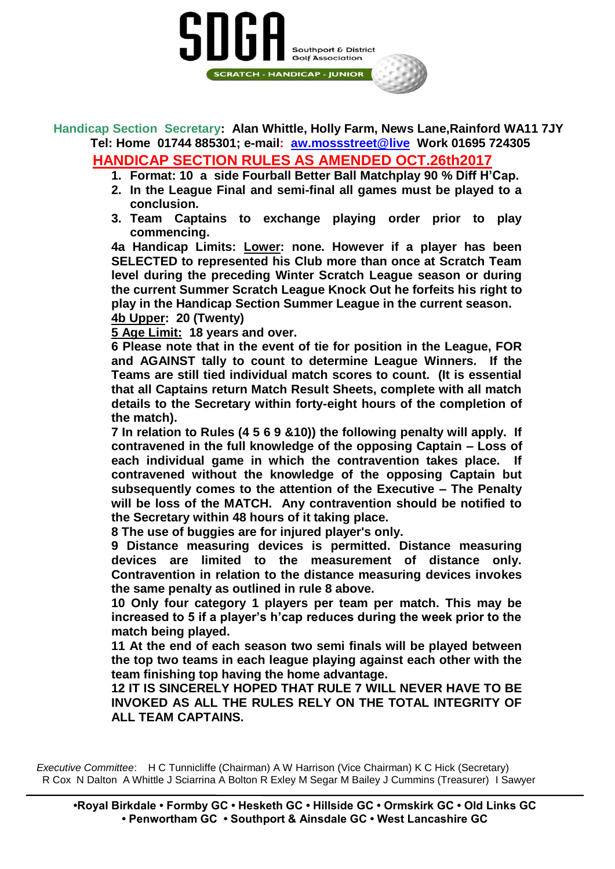## Southport & District **Golf Association** SCRATCH - HANDICAP - JUNIOR

**Handicap Section Secretary: Alan Whittle, Holly Farm, News Lane,Rainford WA11 7JY Tel: Home 01744 885301; e-mail: [aw.mossstreet@live](mailto:aw.mossstreet@live) Work 01695 724305**

## **HANDICAP SECTION RULES AS AMENDED OCT.26th2017**

- **1. Format: 10 a side Fourball Better Ball Matchplay 90 % Diff H'Cap.**
- **2. In the League Final and semi-final all games must be played to a conclusion.**
- **3. Team Captains to exchange playing order prior to play commencing.**

**4a Handicap Limits: Lower: none. However if a player has been SELECTED to represented his Club more than once at Scratch Team level during the preceding Winter Scratch League season or during the current Summer Scratch League Knock Out he forfeits his right to play in the Handicap Section Summer League in the current season. 4b Upper: 20 (Twenty)**

**5 Age Limit: 18 years and over.**

**6 Please note that in the event of tie for position in the League, FOR and AGAINST tally to count to determine League Winners. If the Teams are still tied individual match scores to count. (It is essential that all Captains return Match Result Sheets, complete with all match details to the Secretary within forty-eight hours of the completion of the match).**

**7 In relation to Rules (4 5 6 9 &10)) the following penalty will apply. If contravened in the full knowledge of the opposing Captain – Loss of each individual game in which the contravention takes place. If contravened without the knowledge of the opposing Captain but subsequently comes to the attention of the Executive – The Penalty will be loss of the MATCH. Any contravention should be notified to the Secretary within 48 hours of it taking place.**

**8 The use of buggies are for injured player's only.** 

**9 Distance measuring devices is permitted. Distance measuring devices are limited to the measurement of distance only. Contravention in relation to the distance measuring devices invokes the same penalty as outlined in rule 8 above.**

**10 Only four category 1 players per team per match. This may be increased to 5 if a player's h'cap reduces during the week prior to the match being played.**

**11 At the end of each season two semi finals will be played between the top two teams in each league playing against each other with the team finishing top having the home advantage.**

**12 IT IS SINCERELY HOPED THAT RULE 7 WILL NEVER HAVE TO BE INVOKED AS ALL THE RULES RELY ON THE TOTAL INTEGRITY OF ALL TEAM CAPTAINS.** 

*Executive Committee*: H C Tunnicliffe (Chairman) A W Harrison (Vice Chairman) K C Hick (Secretary) R Cox N Dalton A Whittle J Sciarrina A Bolton R Exley M Segar M Bailey J Cummins (Treasurer) I Sawyer